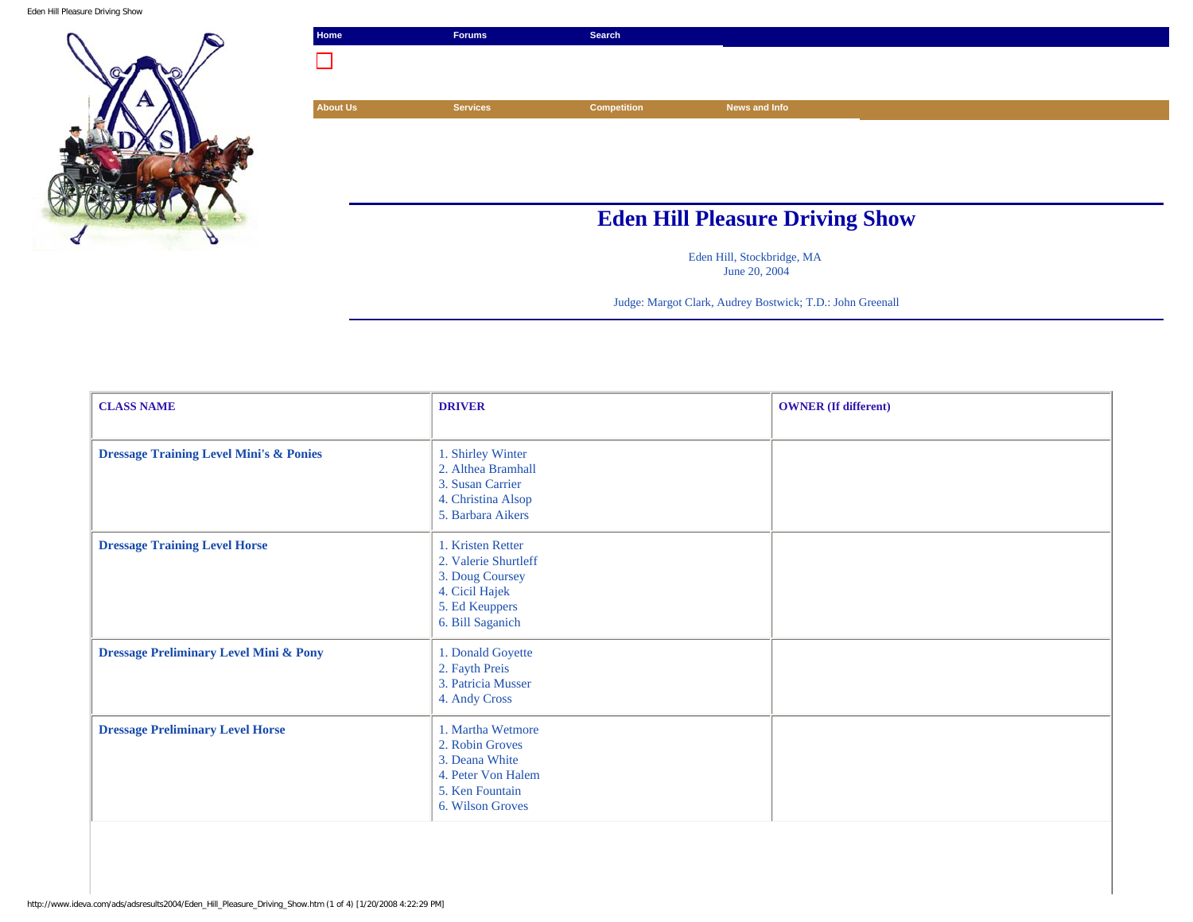Eden Hill Pleasure Driving Show



| <b>Services</b> | <b>Competition</b> | News and Info |                                        |
|-----------------|--------------------|---------------|----------------------------------------|
|                 |                    |               |                                        |
|                 |                    |               |                                        |
|                 |                    |               |                                        |
|                 |                    |               |                                        |
|                 |                    |               |                                        |
|                 |                    |               | <b>Eden Hill Pleasure Driving Show</b> |

Eden Hill, Stockbridge, MA June 20, 2004

Judge: Margot Clark, Audrey Bostwick; T.D.: John Greenall

| <b>CLASS NAME</b>                                  | <b>DRIVER</b>                                                                                                        | <b>OWNER</b> (If different) |
|----------------------------------------------------|----------------------------------------------------------------------------------------------------------------------|-----------------------------|
| <b>Dressage Training Level Mini's &amp; Ponies</b> | 1. Shirley Winter<br>2. Althea Bramhall<br>3. Susan Carrier<br>4. Christina Alsop<br>5. Barbara Aikers               |                             |
| <b>Dressage Training Level Horse</b>               | 1. Kristen Retter<br>2. Valerie Shurtleff<br>3. Doug Coursey<br>4. Cicil Hajek<br>5. Ed Keuppers<br>6. Bill Saganich |                             |
| <b>Dressage Preliminary Level Mini &amp; Pony</b>  | 1. Donald Goyette<br>2. Fayth Preis<br>3. Patricia Musser<br>4. Andy Cross                                           |                             |
| <b>Dressage Preliminary Level Horse</b>            | 1. Martha Wetmore<br>2. Robin Groves<br>3. Deana White<br>4. Peter Von Halem<br>5. Ken Fountain<br>6. Wilson Groves  |                             |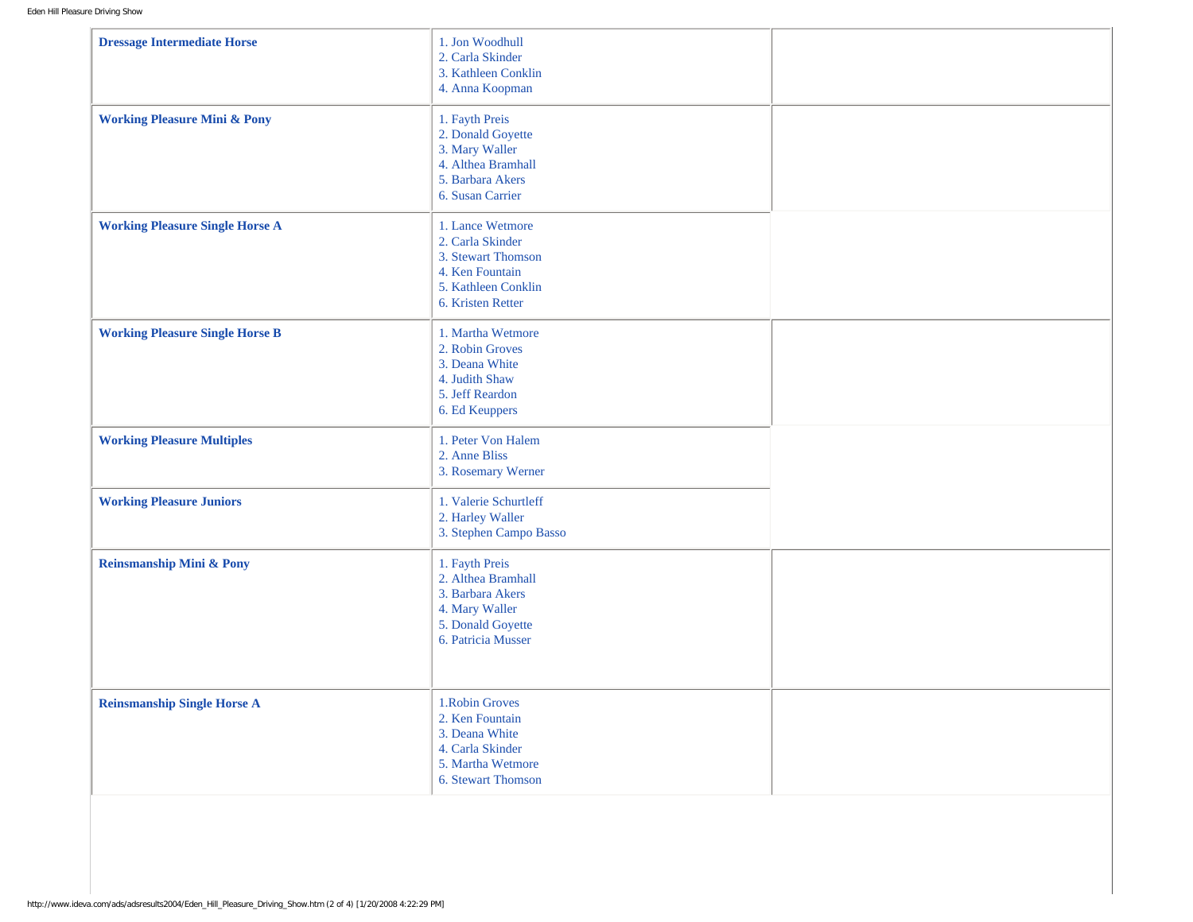| <b>Dressage Intermediate Horse</b>      | 1. Jon Woodhull<br>2. Carla Skinder<br>3. Kathleen Conklin<br>4. Anna Koopman                                             |  |
|-----------------------------------------|---------------------------------------------------------------------------------------------------------------------------|--|
| <b>Working Pleasure Mini &amp; Pony</b> | 1. Fayth Preis<br>2. Donald Goyette<br>3. Mary Waller<br>4. Althea Bramhall<br>5. Barbara Akers<br>6. Susan Carrier       |  |
| <b>Working Pleasure Single Horse A</b>  | 1. Lance Wetmore<br>2. Carla Skinder<br>3. Stewart Thomson<br>4. Ken Fountain<br>5. Kathleen Conklin<br>6. Kristen Retter |  |
| <b>Working Pleasure Single Horse B</b>  | 1. Martha Wetmore<br>2. Robin Groves<br>3. Deana White<br>4. Judith Shaw<br>5. Jeff Reardon<br>6. Ed Keuppers             |  |
| <b>Working Pleasure Multiples</b>       | 1. Peter Von Halem<br>2. Anne Bliss<br>3. Rosemary Werner                                                                 |  |
| <b>Working Pleasure Juniors</b>         | 1. Valerie Schurtleff<br>2. Harley Waller<br>3. Stephen Campo Basso                                                       |  |
| <b>Reinsmanship Mini &amp; Pony</b>     | 1. Fayth Preis<br>2. Althea Bramhall<br>3. Barbara Akers<br>4. Mary Waller<br>5. Donald Goyette<br>6. Patricia Musser     |  |
| <b>Reinsmanship Single Horse A</b>      | 1. Robin Groves<br>2. Ken Fountain<br>3. Deana White<br>4. Carla Skinder<br>5. Martha Wetmore<br>6. Stewart Thomson       |  |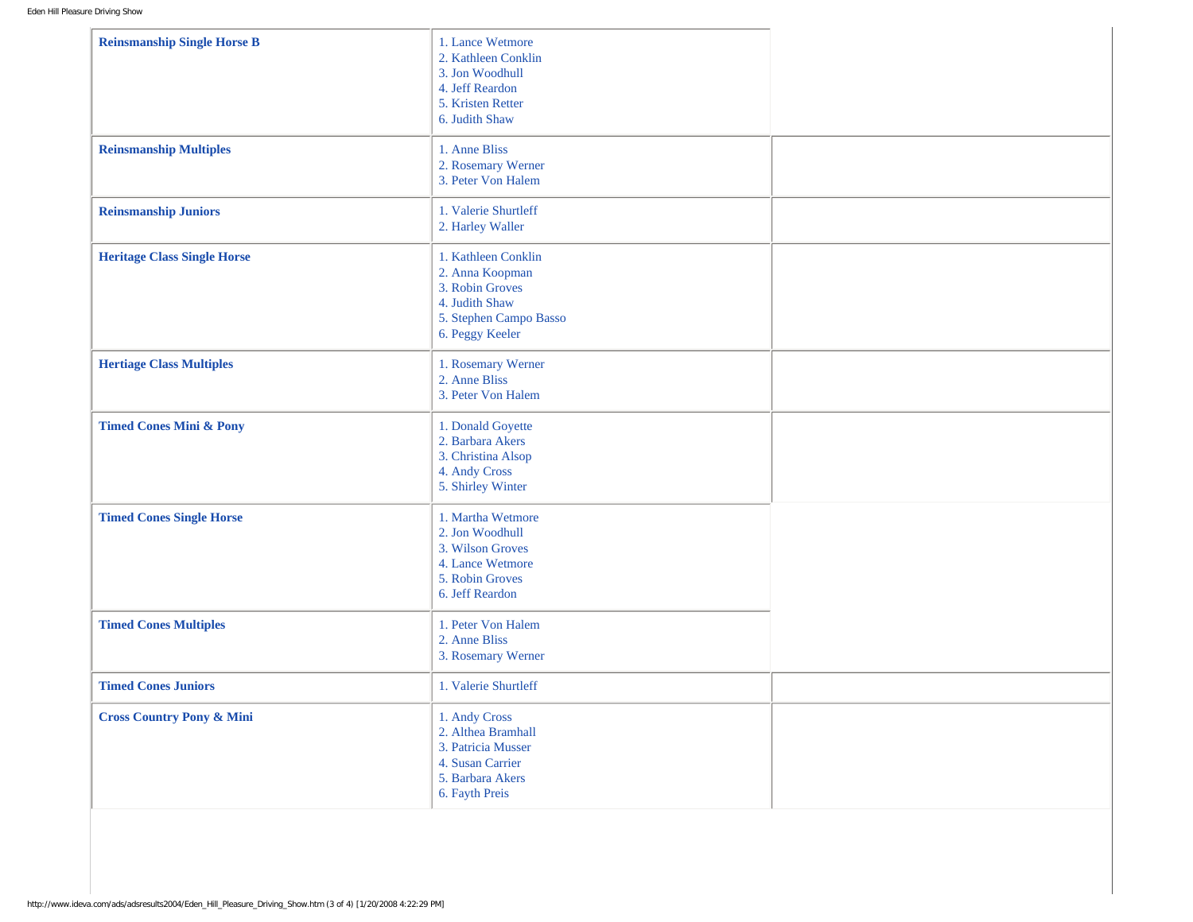| <b>Reinsmanship Single Horse B</b>   | 1. Lance Wetmore<br>2. Kathleen Conklin<br>3. Jon Woodhull<br>4. Jeff Reardon<br>5. Kristen Retter<br>6. Judith Shaw     |  |
|--------------------------------------|--------------------------------------------------------------------------------------------------------------------------|--|
| <b>Reinsmanship Multiples</b>        | 1. Anne Bliss<br>2. Rosemary Werner<br>3. Peter Von Halem                                                                |  |
| <b>Reinsmanship Juniors</b>          | 1. Valerie Shurtleff<br>2. Harley Waller                                                                                 |  |
| <b>Heritage Class Single Horse</b>   | 1. Kathleen Conklin<br>2. Anna Koopman<br>3. Robin Groves<br>4. Judith Shaw<br>5. Stephen Campo Basso<br>6. Peggy Keeler |  |
| <b>Hertiage Class Multiples</b>      | 1. Rosemary Werner<br>2. Anne Bliss<br>3. Peter Von Halem                                                                |  |
| <b>Timed Cones Mini &amp; Pony</b>   | 1. Donald Goyette<br>2. Barbara Akers<br>3. Christina Alsop<br>4. Andy Cross<br>5. Shirley Winter                        |  |
| <b>Timed Cones Single Horse</b>      | 1. Martha Wetmore<br>2. Jon Woodhull<br>3. Wilson Groves<br>4. Lance Wetmore<br>5. Robin Groves<br>6. Jeff Reardon       |  |
| <b>Timed Cones Multiples</b>         | 1. Peter Von Halem<br>2. Anne Bliss<br>3. Rosemary Werner                                                                |  |
| <b>Timed Cones Juniors</b>           | 1. Valerie Shurtleff                                                                                                     |  |
| <b>Cross Country Pony &amp; Mini</b> | 1. Andy Cross<br>2. Althea Bramhall<br>3. Patricia Musser<br>4. Susan Carrier<br>5. Barbara Akers<br>6. Fayth Preis      |  |